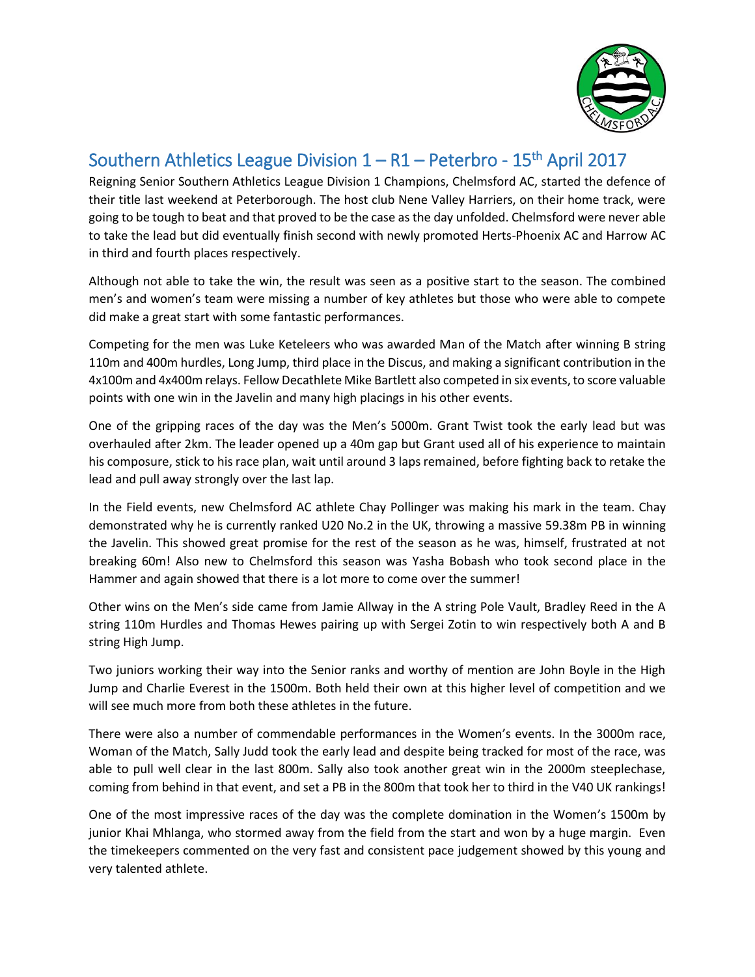

## Southern Athletics League Division  $1 - R1 -$  Peterbro - 15<sup>th</sup> April 2017

Reigning Senior Southern Athletics League Division 1 Champions, Chelmsford AC, started the defence of their title last weekend at Peterborough. The host club Nene Valley Harriers, on their home track, were going to be tough to beat and that proved to be the case as the day unfolded. Chelmsford were never able to take the lead but did eventually finish second with newly promoted Herts-Phoenix AC and Harrow AC in third and fourth places respectively.

Although not able to take the win, the result was seen as a positive start to the season. The combined men's and women's team were missing a number of key athletes but those who were able to compete did make a great start with some fantastic performances.

Competing for the men was Luke Keteleers who was awarded Man of the Match after winning B string 110m and 400m hurdles, Long Jump, third place in the Discus, and making a significant contribution in the 4x100m and 4x400m relays. Fellow Decathlete Mike Bartlett also competed in six events, to score valuable points with one win in the Javelin and many high placings in his other events.

One of the gripping races of the day was the Men's 5000m. Grant Twist took the early lead but was overhauled after 2km. The leader opened up a 40m gap but Grant used all of his experience to maintain his composure, stick to his race plan, wait until around 3 laps remained, before fighting back to retake the lead and pull away strongly over the last lap.

In the Field events, new Chelmsford AC athlete Chay Pollinger was making his mark in the team. Chay demonstrated why he is currently ranked U20 No.2 in the UK, throwing a massive 59.38m PB in winning the Javelin. This showed great promise for the rest of the season as he was, himself, frustrated at not breaking 60m! Also new to Chelmsford this season was Yasha Bobash who took second place in the Hammer and again showed that there is a lot more to come over the summer!

Other wins on the Men's side came from Jamie Allway in the A string Pole Vault, Bradley Reed in the A string 110m Hurdles and Thomas Hewes pairing up with Sergei Zotin to win respectively both A and B string High Jump.

Two juniors working their way into the Senior ranks and worthy of mention are John Boyle in the High Jump and Charlie Everest in the 1500m. Both held their own at this higher level of competition and we will see much more from both these athletes in the future.

There were also a number of commendable performances in the Women's events. In the 3000m race, Woman of the Match, Sally Judd took the early lead and despite being tracked for most of the race, was able to pull well clear in the last 800m. Sally also took another great win in the 2000m steeplechase, coming from behind in that event, and set a PB in the 800m that took her to third in the V40 UK rankings!

One of the most impressive races of the day was the complete domination in the Women's 1500m by junior Khai Mhlanga, who stormed away from the field from the start and won by a huge margin. Even the timekeepers commented on the very fast and consistent pace judgement showed by this young and very talented athlete.